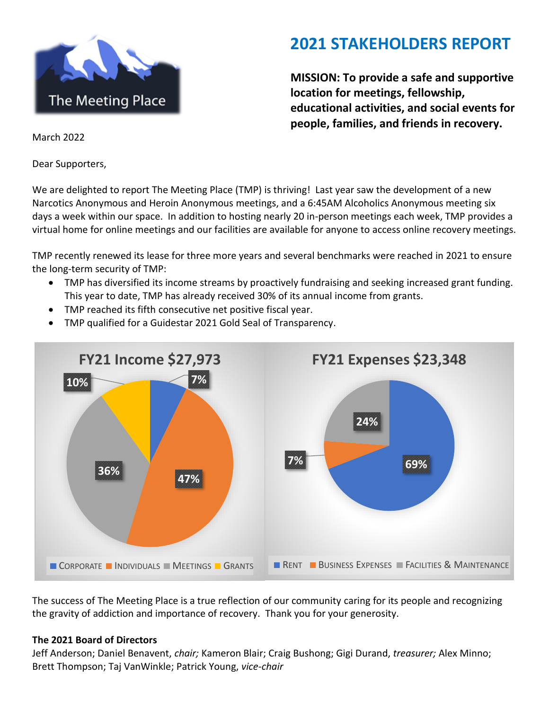

## **2021 STAKEHOLDERS REPORT**

**MISSION: To provide a safe and supportive location for meetings, fellowship, educational activities, and social events for people, families, and friends in recovery.**

March 2022

Dear Supporters,

We are delighted to report The Meeting Place (TMP) is thriving! Last year saw the development of a new Narcotics Anonymous and Heroin Anonymous meetings, and a 6:45AM Alcoholics Anonymous meeting six days a week within our space. In addition to hosting nearly 20 in-person meetings each week, TMP provides a virtual home for online meetings and our facilities are available for anyone to access online recovery meetings.

TMP recently renewed its lease for three more years and several benchmarks were reached in 2021 to ensure the long-term security of TMP:

- TMP has diversified its income streams by proactively fundraising and seeking increased grant funding. This year to date, TMP has already received 30% of its annual income from grants.
- TMP reached its fifth consecutive net positive fiscal year.
- TMP qualified for a Guidestar 2021 Gold Seal of Transparency.



The success of The Meeting Place is a true reflection of our community caring for its people and recognizing the gravity of addiction and importance of recovery. Thank you for your generosity.

#### **The 2021 Board of Directors**

Jeff Anderson; Daniel Benavent, *chair;* Kameron Blair; Craig Bushong; Gigi Durand, *treasurer;* Alex Minno; Brett Thompson; Taj VanWinkle; Patrick Young, *vice-chair*